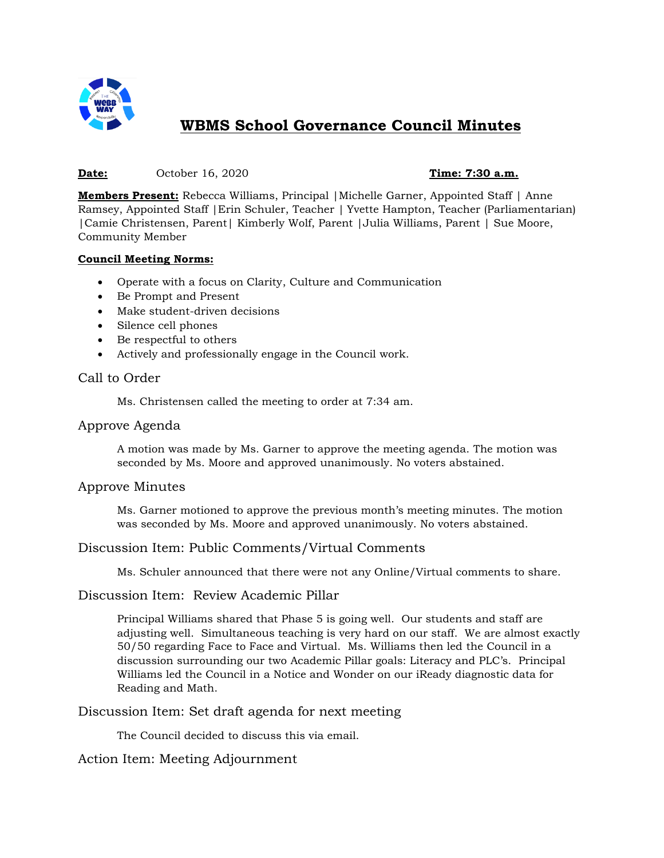

# **WBMS School Governance Council Minutes**

#### **Date:** October 16, 2020 **Time: 7:30 a.m.**

**Members Present:** Rebecca Williams, Principal |Michelle Garner, Appointed Staff | Anne Ramsey, Appointed Staff |Erin Schuler, Teacher | Yvette Hampton, Teacher (Parliamentarian) |Camie Christensen, Parent| Kimberly Wolf, Parent |Julia Williams, Parent | Sue Moore, Community Member

#### **Council Meeting Norms:**

- Operate with a focus on Clarity, Culture and Communication
- Be Prompt and Present
- Make student-driven decisions
- Silence cell phones
- Be respectful to others
- Actively and professionally engage in the Council work.

# Call to Order

Ms. Christensen called the meeting to order at 7:34 am.

### Approve Agenda

A motion was made by Ms. Garner to approve the meeting agenda. The motion was seconded by Ms. Moore and approved unanimously. No voters abstained.

# Approve Minutes

Ms. Garner motioned to approve the previous month's meeting minutes. The motion was seconded by Ms. Moore and approved unanimously. No voters abstained.

# Discussion Item: Public Comments/Virtual Comments

Ms. Schuler announced that there were not any Online/Virtual comments to share.

# Discussion Item: Review Academic Pillar

Principal Williams shared that Phase 5 is going well. Our students and staff are adjusting well. Simultaneous teaching is very hard on our staff. We are almost exactly 50/50 regarding Face to Face and Virtual. Ms. Williams then led the Council in a discussion surrounding our two Academic Pillar goals: Literacy and PLC's. Principal Williams led the Council in a Notice and Wonder on our iReady diagnostic data for Reading and Math.

Discussion Item: Set draft agenda for next meeting

The Council decided to discuss this via email.

# Action Item: Meeting Adjournment